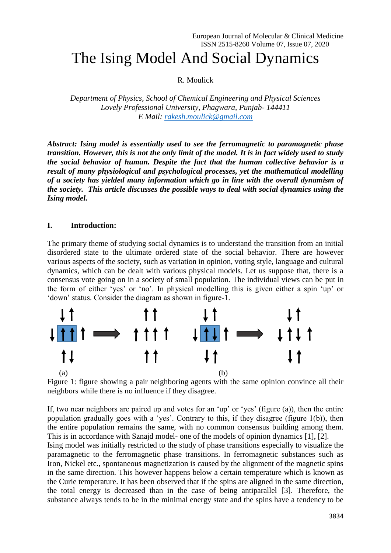# R. Moulick

*Department of Physics, School of Chemical Engineering and Physical Sciences Lovely Professional University, Phagwara, Punjab- 144411 E Mail: [rakesh.moulick@gmail.com](mailto:rakesh.moulick@gmail.com)*

*Abstract: Ising model is essentially used to see the ferromagnetic to paramagnetic phase transition. However, this is not the only limit of the model. It is in fact widely used to study the social behavior of human. Despite the fact that the human collective behavior is a result of many physiological and psychological processes, yet the mathematical modelling of a society has yielded many information which go in line with the overall dynamism of the society. This article discusses the possible ways to deal with social dynamics using the Ising model.* 

### **I. Introduction:**

The primary theme of studying social dynamics is to understand the transition from an initial disordered state to the ultimate ordered state of the social behavior. There are however various aspects of the society, such as variation in opinion, voting style, language and cultural dynamics, which can be dealt with various physical models. Let us suppose that, there is a consensus vote going on in a society of small population. The individual views can be put in the form of either 'yes' or 'no'. In physical modelling this is given either a spin 'up' or 'down' status. Consider the diagram as shown in figure-1.



Figure 1: figure showing a pair neighboring agents with the same opinion convince all their neighbors while there is no influence if they disagree.

If, two near neighbors are paired up and votes for an 'up' or 'yes' (figure (a)), then the entire population gradually goes with a 'yes'. Contrary to this, if they disagree (figure 1(b)), then the entire population remains the same, with no common consensus building among them. This is in accordance with Sznajd model- one of the models of opinion dynamics [1], [2].

Ising model was initially restricted to the study of phase transitions especially to visualize the paramagnetic to the ferromagnetic phase transitions. In ferromagnetic substances such as Iron, Nickel etc., spontaneous magnetization is caused by the alignment of the magnetic spins in the same direction. This however happens below a certain temperature which is known as the Curie temperature. It has been observed that if the spins are aligned in the same direction, the total energy is decreased than in the case of being antiparallel [3]. Therefore, the substance always tends to be in the minimal energy state and the spins have a tendency to be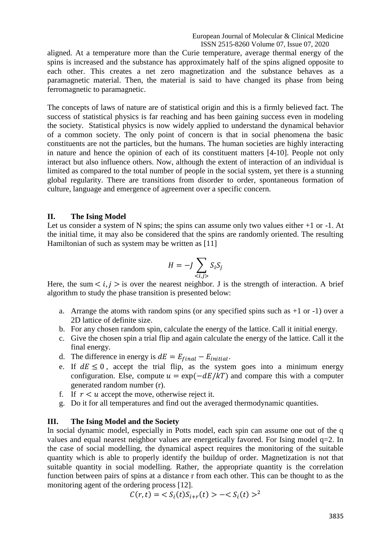aligned. At a temperature more than the Curie temperature, average thermal energy of the spins is increased and the substance has approximately half of the spins aligned opposite to each other. This creates a net zero magnetization and the substance behaves as a paramagnetic material. Then, the material is said to have changed its phase from being ferromagnetic to paramagnetic.

The concepts of laws of nature are of statistical origin and this is a firmly believed fact. The success of statistical physics is far reaching and has been gaining success even in modeling the society. Statistical physics is now widely applied to understand the dynamical behavior of a common society. The only point of concern is that in social phenomena the basic constituents are not the particles, but the humans. The human societies are highly interacting in nature and hence the opinion of each of its constituent matters [4-10]. People not only interact but also influence others. Now, although the extent of interaction of an individual is limited as compared to the total number of people in the social system, yet there is a stunning global regularity. There are transitions from disorder to order, spontaneous formation of culture, language and emergence of agreement over a specific concern.

#### **II. The Ising Model**

Let us consider a system of N spins; the spins can assume only two values either  $+1$  or  $-1$ . At the initial time, it may also be considered that the spins are randomly oriented. The resulting Hamiltonian of such as system may be written as [11]

$$
H = -J \sum_{< i,j>} S_i S_j
$$

Here, the sum  $\langle i, j \rangle$  is over the nearest neighbor. J is the strength of interaction. A brief algorithm to study the phase transition is presented below:

- a. Arrange the atoms with random spins (or any specified spins such as  $+1$  or  $-1$ ) over a 2D lattice of definite size.
- b. For any chosen random spin, calculate the energy of the lattice. Call it initial energy.
- c. Give the chosen spin a trial flip and again calculate the energy of the lattice. Call it the final energy.
- d. The difference in energy is  $dE = E_{final} E_{initial}$ .
- e. If  $dE \leq 0$ , accept the trial flip, as the system goes into a minimum energy configuration. Else, compute  $u = \exp(-dE/kT)$  and compare this with a computer generated random number (r).
- f. If  $r < u$  accept the move, otherwise reject it.
- g. Do it for all temperatures and find out the averaged thermodynamic quantities.

#### **III. The Ising Model and the Society**

In social dynamic model, especially in Potts model, each spin can assume one out of the q values and equal nearest neighbor values are energetically favored. For Ising model q=2. In the case of social modelling, the dynamical aspect requires the monitoring of the suitable quantity which is able to properly identify the buildup of order. Magnetization is not that suitable quantity in social modelling. Rather, the appropriate quantity is the correlation function between pairs of spins at a distance r from each other. This can be thought to as the monitoring agent of the ordering process [12].

$$
C(r,t) = \langle S_i(t)S_{i+r}(t) \rangle - \langle S_i(t) \rangle^2
$$